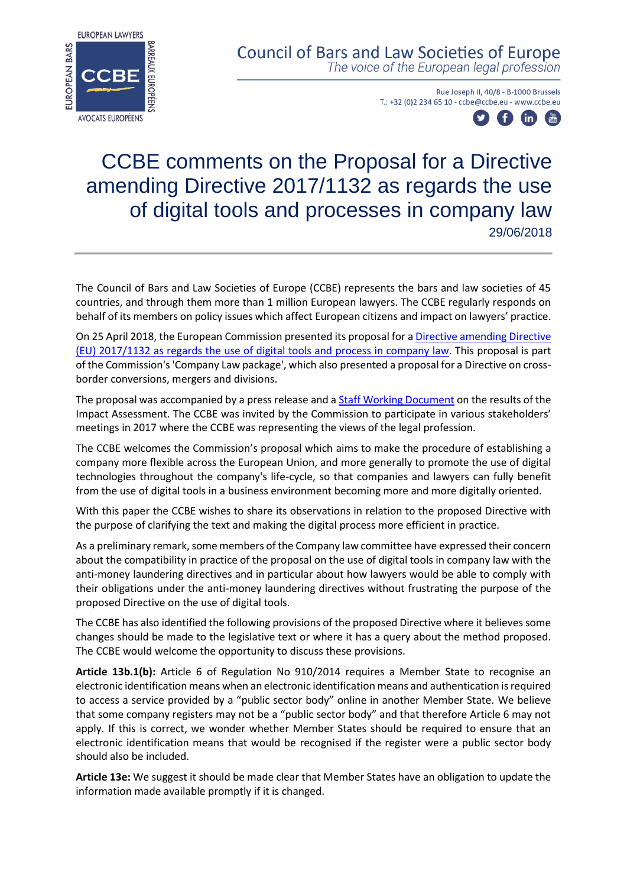

**Council of Bars and Law Societies of Europe** The voice of the European legal profession

> Rue Joseph II, 40/8 - B-1000 Brussels T.: +32 (0)2 234 65 10 - ccbe@ccbe.eu - www.ccbe.eu



## CCBE comments on the Proposal for a Directive amending Directive 2017/1132 as regards the use of digital tools and processes in company law 29/06/2018

The Council of Bars and Law Societies of Europe (CCBE) represents the bars and law societies of 45 countries, and through them more than 1 million European lawyers. The CCBE regularly responds on behalf of its members on policy issues which affect European citizens and impact on lawyers' practice.

On 25 April 2018, the European Commission presented its proposal for [a Directive amending Directive](https://ec.europa.eu/info/law/better-regulation/initiatives/com-2018-239_en)  [\(EU\) 2017/1132 as regards the use of digital tools and process in company law.](https://ec.europa.eu/info/law/better-regulation/initiatives/com-2018-239_en) This proposal is part of the Commission's 'Company Law package', which also presented a proposal for a Directive on crossborder conversions, mergers and divisions.

The proposal was accompanied by a press release and a **Staff Working Document on** the results of the Impact Assessment. The CCBE was invited by the Commission to participate in various stakeholders' meetings in 2017 where the CCBE was representing the views of the legal profession.

The CCBE welcomes the Commission's proposal which aims to make the procedure of establishing a company more flexible across the European Union, and more generally to promote the use of digital technologies throughout the company's life-cycle, so that companies and lawyers can fully benefit from the use of digital tools in a business environment becoming more and more digitally oriented.

With this paper the CCBE wishes to share its observations in relation to the proposed Directive with the purpose of clarifying the text and making the digital process more efficient in practice.

As a preliminary remark, some members of the Company law committee have expressed their concern about the compatibility in practice of the proposal on the use of digital tools in company law with the anti-money laundering directives and in particular about how lawyers would be able to comply with their obligations under the anti-money laundering directives without frustrating the purpose of the proposed Directive on the use of digital tools.

The CCBE has also identified the following provisions of the proposed Directive where it believes some changes should be made to the legislative text or where it has a query about the method proposed. The CCBE would welcome the opportunity to discuss these provisions.

**Article 13b.1(b):** Article 6 of Regulation No 910/2014 requires a Member State to recognise an electronic identification means when an electronic identification means and authentication is required to access a service provided by a "public sector body" online in another Member State. We believe that some company registers may not be a "public sector body" and that therefore Article 6 may not apply. If this is correct, we wonder whether Member States should be required to ensure that an electronic identification means that would be recognised if the register were a public sector body should also be included.

**Article 13e:** We suggest it should be made clear that Member States have an obligation to update the information made available promptly if it is changed.